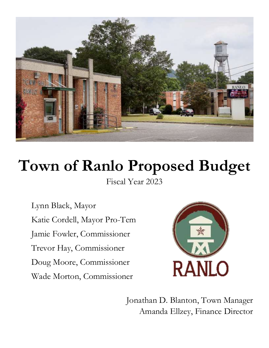

# **Town of Ranlo Proposed Budget**

Fiscal Year 2023

Lynn Black, Mayor Katie Cordell, Mayor Pro-Tem Jamie Fowler, Commissioner Trevor Hay, Commissioner Doug Moore, Commissioner Wade Morton, Commissioner



Jonathan D. Blanton, Town Manager Amanda Ellzey, Finance Director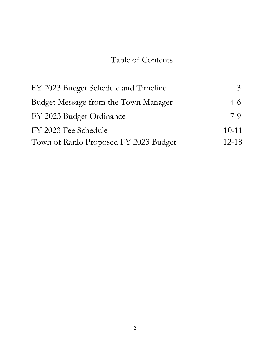## Table of Contents

| FY 2023 Budget Schedule and Timeline  | $\mathcal{Z}^-$ |
|---------------------------------------|-----------------|
| Budget Message from the Town Manager  | $4-6$           |
| FY 2023 Budget Ordinance              | 7-9             |
| FY 2023 Fee Schedule                  | $10-11$         |
| Town of Ranlo Proposed FY 2023 Budget | $12 - 18$       |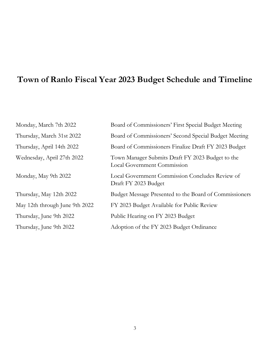## **Town of Ranlo Fiscal Year 2023 Budget Schedule and Timeline**

| Monday, March 7th 2022         | Board of Commissioners' First Special Budget Meeting                                   |
|--------------------------------|----------------------------------------------------------------------------------------|
| Thursday, March 31st 2022      | Board of Commissioners' Second Special Budget Meeting                                  |
| Thursday, April 14th 2022      | Board of Commissioners Finalize Draft FY 2023 Budget                                   |
| Wednesday, April 27th 2022     | Town Manager Submits Draft FY 2023 Budget to the<br><b>Local Government Commission</b> |
| Monday, May 9th 2022           | Local Government Commission Concludes Review of<br>Draft FY 2023 Budget                |
| Thursday, May 12th 2022        | Budget Message Presented to the Board of Commissioners                                 |
| May 12th through June 9th 2022 | FY 2023 Budget Available for Public Review                                             |
| Thursday, June 9th 2022        | Public Hearing on FY 2023 Budget                                                       |
| Thursday, June 9th 2022        | Adoption of the FY 2023 Budget Ordinance                                               |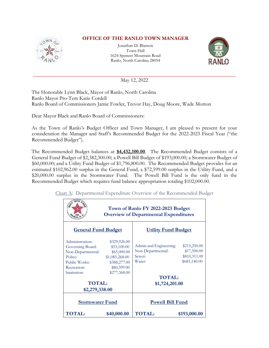

### **OFFICE OF THE RANLO TOWN MANAGER**

Jonathan D. Blanton Town Hall 1624 Spencer Mountain Road Ranlo, North Carolina 28054



**\_\_\_\_\_\_\_\_\_\_\_\_\_\_\_\_\_\_\_\_\_\_\_\_\_\_\_\_\_\_\_\_\_\_\_\_\_\_\_\_\_\_\_\_\_\_\_\_\_\_\_\_\_\_\_\_\_\_\_\_\_\_\_\_\_\_\_\_\_\_\_\_\_\_\_\_\_** May 12, 2022

The Honorable Lynn Black, Mayor of Ranlo, North Carolina Ranlo Mayor Pro-Tem Katie Cordell Ranlo Board of Commissioners Jamie Fowler, Trevor Hay, Doug Moore, Wade Morton

Dear Mayor Black and Ranlo Board of Commissioners:

As the Town of Ranlo's Budget Officer and Town Manager, I am pleased to present for your consideration the Manager and Staff's Recommended Budget for the 2022-2023 Fiscal Year ("the Recommended Budget").

The Recommended Budget balances at **\$4,432,100.00**. The Recommended Budget consists of a General Fund Budget of \$2,382,300.00; a Powell Bill Budget of \$193,000.00; a Stormwater Budget of \$60,000.00; and a Utility Fund Budget of \$1,796,800.00. The Recommended Budget provides for an estimated \$102,962.00 surplus in the General Fund, a \$72,599.00 surplus in the Utility Fund, and a \$20,000.00 surplus in the Stormwater Fund. The Powell Bill Fund is the only fund in the Recommended Budget which requires fund balance appropriation totaling \$102,000.00.

Chart A: Departmental Expenditure Overview of the Recommended Budget

| Town of Ranlo FY 2022-2023 Budget<br><b>Overview of Departmental Expenditures</b>                                  |                                                                                                             |                                                                                  |                                                             |  |
|--------------------------------------------------------------------------------------------------------------------|-------------------------------------------------------------------------------------------------------------|----------------------------------------------------------------------------------|-------------------------------------------------------------|--|
| <b>General Fund Budget</b>                                                                                         |                                                                                                             | <b>Utility Fund Budget</b>                                                       |                                                             |  |
| Administration:<br>Governing Board:<br>Non-Departmental:<br>Police:<br>Public Works:<br>Recreation:<br>Sanitation: | \$329,926.00<br>\$53,100.00<br>\$65,000.00<br>\$1,085,268.00<br>\$388,277.00<br>\$80,399.00<br>\$277,368.00 | Admin and Engineering:<br>Non-Departmental:<br>Sewer:<br>Water:<br><b>TOTAL:</b> | \$215,250.00<br>\$17,500.00<br>\$810,311.00<br>\$681,140.00 |  |
| <b>TOTAL:</b><br>\$2,279,338.00                                                                                    |                                                                                                             | \$1,724,201.00                                                                   |                                                             |  |
| <b>Powell Bill Fund</b><br><b>Stormwater Fund</b>                                                                  |                                                                                                             |                                                                                  |                                                             |  |
| <b>TOTAL:</b>                                                                                                      | \$40,000.00                                                                                                 | <b>TOTAL:</b>                                                                    | \$193,000.00                                                |  |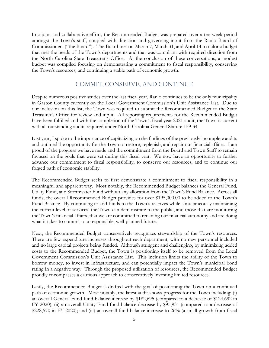In a joint and collaborative effort, the Recommended Budget was prepared over a ten-week period amongst the Town's staff, coupled with direction and governing input from the Ranlo Board of Commissioners ("the Board"). The Board met on March 7, March 31, and April 14 to tailor a budget that met the needs of the Town's departments and that was compliant with required direction from the North Carolina State Treasurer's Office. At the conclusion of these conversations, a modest budget was compiled focusing on demonstrating a commitment to fiscal responsibility, conserving the Town's resources, and continuing a stable path of economic growth.

#### COMMIT, CONSERVE, AND CONTINUE

Despite numerous positive strides over the last fiscal year, Ranlo continues to be the only municipality in Gaston County currently on the Local Government Commission's Unit Assistance List. Due to our inclusion on this list, the Town was required to submit the Recommended Budget to the State Treasurer's Office for review and input. All reporting requirements for the Recommended Budget have been fulfilled and with the completion of the Town's fiscal year 2021 audit, the Town is current with all outstanding audits required under North Carolina General Statute 159-34.

Last year, I spoke to the importance of capitalizing on the findings of the previously incomplete audits and outlined the opportunity for the Town to restore, replenish, and repair our financial affairs. I am proud of the progress we have made and the commitment from the Board and Town Staff to remain focused on the goals that were set during this fiscal year. We now have an opportunity to further advance our commitment to fiscal responsibility, to conserve our resources, and to continue our forged path of economic stability.

The Recommended Budget seeks to first demonstrate a commitment to fiscal responsibility in a meaningful and apparent way. Most notably, the Recommended Budget balances the General Fund, Utility Fund, and Stormwater Fund without any allocation from the Town's Fund Balance. Across all funds, the overall Recommended Budget provides for over \$195,000.00 to be added to the Town's Fund Balance. By continuing to add funds to the Town's reserves while simultaneously maintaining the current level of services, the Town can demonstrate to the public, and those that are monitoring the Town's financial affairs, that we are committed to retaining our financial autonomy and are doing what it takes to commit to a responsible, well-planned future.

Next, the Recommended Budget conservatively recognizes stewardship of the Town's resources. There are few expenditure increases throughout each department, with no new personnel included and no large capital projects being funded. Although stringent and challenging, by minimizing added costs to the Recommended Budget, the Town is positioning itself to be removed from the Local Government Commission's Unit Assistance List. This inclusion limits the ability of the Town to borrow money, to invest in infrastructure, and can potentially impact the Town's municipal bond rating in a negative way. Through the proposed utilization of resources, the Recommended Budget proudly encompasses a cautious approach to conservatively investing limited resources.

Lastly, the Recommended Budget is drafted with the goal of positioning the Town on a continued path of economic growth. Most notably, the latest audit shows progress for the Town including: (i) an overall General Fund fund-balance increase by \$182,695 (compared to a decrease of \$124,692 in FY 2020); (ii) an overall Utility Fund fund-balance decrease by \$95,931 (compared to a decrease of \$228,570 in FY 2020); and (iii) an overall fund-balance increase to 26% (a small growth from fiscal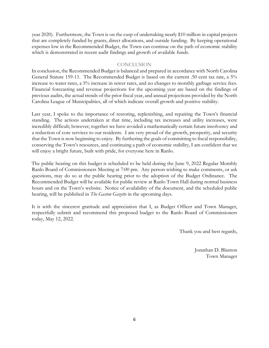year 2020). Furthermore, the Town is on the cusp of undertaking nearly \$10 million in capital projects that are completely funded by grants, direct allocations, and outside funding. By keeping operational expenses low in the Recommended Budget, the Town can continue on the path of economic stability which is demonstrated in recent audit findings and growth of available funds.

#### **CONCLUSION**

In conclusion, the Recommended Budget is balanced and prepared in accordance with North Carolina General Statute 159-11. The Recommended Budget is based on the current .50 cent tax rate, a 5% increase to water rates, a 5% increase in sewer rates, and no changes to monthly garbage service fees. Financial forecasting and revenue projections for the upcoming year are based on the findings of previous audits, the actual trends of the prior fiscal year, and annual projections provided by the North Carolina League of Municipalities, all of which indicate overall growth and positive stability.

Last year, I spoke to the importance of restoring, replenishing, and repairing the Town's financial standing. The actions undertaken at that time, including tax increases and utility increases, were incredibly difficult; however, together we have avoided a mathematically certain future insolvency and a reduction of core services to our residents. I am very proud of the growth, prosperity, and security that the Town is now beginning to enjoy. By furthering the goals of committing to fiscal responsibility, conserving the Town's resources, and continuing a path of economic stability, I am confident that we will enjoy a bright future, built with pride, for everyone here in Ranlo.

The public hearing on this budget is scheduled to be held during the June 9, 2022 Regular Monthly Ranlo Board of Commissioners Meeting at 7:00 pm. Any person wishing to make comments, or ask questions, may do so at the public hearing prior to the adoption of the Budget Ordinance. The Recommended Budget will be available for public review at Ranlo Town Hall during normal business hours and on the Town's website. Notice of availability of the document, and the scheduled public hearing, will be published in *The Gaston Gazette* in the upcoming days.

It is with the sincerest gratitude and appreciation that I, as Budget Officer and Town Manager, respectfully submit and recommend this proposed budget to the Ranlo Board of Commissioners today, May 12, 2022.

Thank you and best regards,

Jonathan D. Blanton Town Manager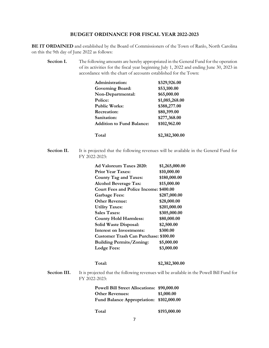#### **BUDGET ORDINANCE FOR FISCAL YEAR 2022-2023**

**BE IT ORDAINED** and established by the Board of Commissioners of the Town of Ranlo, North Carolina on this the 9th day of June 2022 as follows:

**Section I.** The following amounts are hereby appropriated in the General Fund for the operation of its activities for the fiscal year beginning July 1, 2022 and ending June 30, 2023 in accordance with the chart of accounts established for the Town:

| Administration:                  | \$329,926.00   |
|----------------------------------|----------------|
| <b>Governing Board:</b>          | \$53,100.00    |
| Non-Departmental:                | \$65,000.00    |
| Police:                          | \$1,085,268.00 |
| <b>Public Works:</b>             | \$388,277.00   |
| <b>Recreation:</b>               | \$80,399.00    |
| Sanitation:                      | \$277,368.00   |
| <b>Addition to Fund Balance:</b> | \$102,962.00   |
| Total                            | \$2,382,300.00 |

**Section II.** It is projected that the following revenues will be available in the General Fund for FY 2022-2023:

| Ad Valoreum Taxes 2020:                       | \$1,265,000.00 |
|-----------------------------------------------|----------------|
| <b>Prior Year Taxes:</b>                      | \$10,000.00    |
| <b>County Tag and Taxes:</b>                  | \$180,000.00   |
| <b>Alcohol Beverage Tax:</b>                  | \$15,000.00    |
| <b>Court Fees and Police Income: \$400.00</b> |                |
| <b>Garbage Fees:</b>                          | \$287,000.00   |
| <b>Other Revenue:</b>                         | \$28,000.00    |
| <b>Utility Taxes:</b>                         | \$201,000.00   |
| <b>Sales Taxes:</b>                           | \$305,000.00   |
| <b>County Hold Harmless:</b>                  | \$80,000.00    |
| Solid Waste Disposal:                         | \$2,500.00     |
| <b>Interest on Investments:</b>               | \$300.00       |
| <b>Customer Trash Can Purchase: \$100.00</b>  |                |
| <b>Building Permits/Zoning:</b>               | \$5,000.00     |
| Lodge Fees:                                   | \$3,000.00     |
|                                               |                |

**Total: \$2,382,300.00**

**Section III.** It is projected that the following revenues will be available in the Powell Bill Fund for FY 2022-2023:

| Powell Bill Street Allocations: \$90,000.00 |            |
|---------------------------------------------|------------|
| <b>Other Revenues:</b>                      | \$1,000.00 |
| Fund Balance Appropriation: \$102,000.00    |            |

**Total \$193,000.00**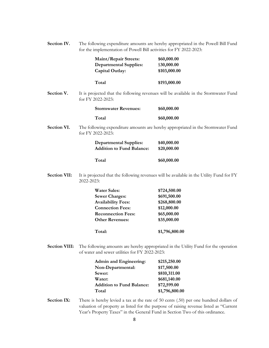| Section IV. | The following expenditure amounts are hereby appropriated in the Powell Bill Fund |
|-------------|-----------------------------------------------------------------------------------|
|             | for the implementation of Powell Bill activities for FY 2022-2023:                |

|                      | <b>Maint/Repair Streets:</b><br><b>Departmental Supplies:</b><br>Capital Outlay:                                                                            | \$60,000.00<br>\$30,000.00<br>\$103,000.00                                                                                                                                     |
|----------------------|-------------------------------------------------------------------------------------------------------------------------------------------------------------|--------------------------------------------------------------------------------------------------------------------------------------------------------------------------------|
|                      | Total                                                                                                                                                       | \$193,000.00                                                                                                                                                                   |
| Section V.           | for FY 2022-2023:                                                                                                                                           | It is projected that the following revenues will be available in the Stormwater Fund                                                                                           |
|                      | <b>Stormwater Revenues:</b>                                                                                                                                 | \$60,000.00                                                                                                                                                                    |
|                      | Total                                                                                                                                                       | \$60,000.00                                                                                                                                                                    |
| Section VI.          | for FY 2022-2023:                                                                                                                                           | The following expenditure amounts are hereby appropriated in the Stormwater Fund                                                                                               |
|                      | <b>Departmental Supplies:</b><br><b>Addition to Fund Balance:</b>                                                                                           | \$40,000.00<br>\$20,000.00                                                                                                                                                     |
|                      | Total                                                                                                                                                       | \$60,000.00                                                                                                                                                                    |
| <b>Section VII:</b>  | 2022-2023:                                                                                                                                                  | It is projected that the following revenues will be available in the Utility Fund for FY                                                                                       |
|                      | <b>Water Sales:</b><br><b>Sewer Charges:</b><br><b>Availability Fees:</b><br><b>Connection Fees:</b><br><b>Reconnection Fees:</b><br><b>Other Revenues:</b> | \$724,500.00<br>\$691,500.00<br>\$268,800.00<br>\$12,000.00<br>\$65,000.00<br>\$35,000.00                                                                                      |
|                      | Total:                                                                                                                                                      | \$1,796,800.00                                                                                                                                                                 |
| <b>Section VIII:</b> | of water and sewer utilities for FY 2022-2023:                                                                                                              | The following amounts are hereby appropriated in the Utility Fund for the operation                                                                                            |
|                      | <b>Admin and Engineering:</b><br>Non-Departmental:<br>Sewer:<br>Water:<br><b>Addition to Fund Balance:</b><br>Total                                         | \$215,250.00<br>\$17,500.00<br>\$810,311.00<br>\$681,140.00<br>\$72,599.00<br>\$1,796,800.00                                                                                   |
| <b>Section IX:</b>   | Year's Property Taxes" in the General Fund in Section Two of this ordinance.                                                                                | There is hereby levied a tax at the rate of 50 cents (.50) per one hundred dollars of<br>valuation of property as listed for the purpose of raising revenue listed as "Current |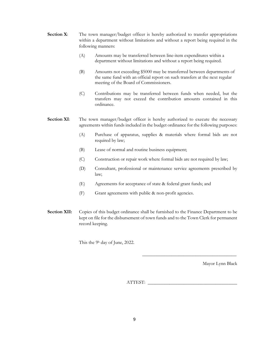- **Section X:** The town manager/budget officer is hereby authorized to transfer appropriations within a department without limitations and without a report being required in the following manners:
	- (A) Amounts may be transferred between line-item expenditures within a department without limitations and without a report being required.
	- (B) Amounts not exceeding \$5000 may be transferred between departments of the same fund with an official report on such transfers at the next regular meeting of the Board of Commissioners.
	- (C) Contributions may be transferred between funds when needed, but the transfers may not exceed the contribution amounts contained in this ordinance.

#### **Section XI:** The town manager/budget officer is hereby authorized to execute the necessary agreements within funds included in the budget ordinance for the following purposes:

- (A) Purchase of apparatus, supplies & materials where formal bids are not required by law;
- (B) Lease of normal and routine business equipment;
- (C) Construction or repair work where formal bids are not required by law;
- (D) Consultant, professional or maintenance service agreements prescribed by law;
- (E) Agreements for acceptance of state & federal grant funds; and
- (F) Grant agreements with public & non-profit agencies.
- **Section XII:** Copies of this budget ordinance shall be furnished to the Finance Department to be kept on file for the disbursement of town funds and to the Town Clerk for permanent record keeping.

This the 9<sup>h</sup> day of June, 2022.

Mayor Lynn Black

\_\_\_\_\_\_\_\_\_\_\_\_\_\_\_\_\_\_\_\_\_\_\_\_\_\_\_\_\_\_\_\_\_\_\_\_\_\_\_

ATTEST: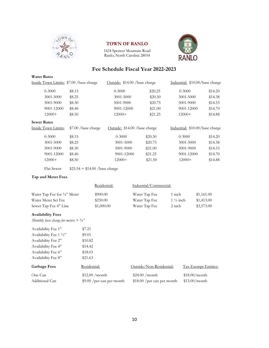

#### **TOWN OF RANLO**

1624 Spencer Mountain Road Ranlo, North Carolina 28054



|                                                  |        |                                 |                               |    | Fee Schedule Fiscal Year 2022-2023 |                     |               |                                 |
|--------------------------------------------------|--------|---------------------------------|-------------------------------|----|------------------------------------|---------------------|---------------|---------------------------------|
| <b>Water Rates</b>                               |        |                                 |                               |    |                                    |                     |               |                                 |
| Inside Town Limits: \$7.00 /base charge          |        |                                 | Outside: \$14.00 /base charge |    |                                    |                     |               | Industrial: \$10.00/base charge |
| $0 - 3000$                                       | \$8.15 |                                 | $0 - 3000$                    |    | \$20.25                            |                     | $0 - 3000$    | \$14.20                         |
| 3001-5000                                        | \$8.25 |                                 | 3001-5000                     |    | \$20.50                            |                     | 3001-5000     | \$14.38                         |
| 5001-9000                                        | \$8.30 |                                 | 5001-9000                     |    | \$20.75                            |                     | 5001-9000     | \$14.53                         |
| 9001-12000                                       | \$8.40 |                                 | 9001-12000                    |    | \$21.00                            |                     | 9001-12000    | \$14.70                         |
| $12000+$                                         | \$8.50 |                                 | $12000+$                      |    | \$21.25                            |                     | $12000+$      | \$14.88                         |
| <b>Sewer Rates</b>                               |        |                                 |                               |    |                                    |                     |               |                                 |
| Inside Town Limits:                              |        | \$7.00 /base charge             | Outside: \$14.00 /base charge |    |                                    |                     |               | Industrial: \$10.00/base charge |
| $0 - 3000$                                       | \$8.15 |                                 | $0 - 3000$                    |    | \$20.50                            |                     | $0 - 3000$    | \$14.20                         |
| 3001-5000                                        | \$8.25 |                                 | 3001-5000                     |    | \$20.75                            |                     | 3001-5000     | \$14.38                         |
| 5001-9000                                        | \$8.30 |                                 | 5001-9000                     |    | \$21.00                            |                     | 5001-9000     | \$14.53                         |
| 9001-12000                                       | \$8.40 |                                 | 9001-12000                    |    | \$21.25                            |                     | 9001-12000    | \$14.70                         |
| $12000+$                                         | \$8.50 |                                 | $12000+$                      |    | \$21.50                            |                     | $12000+$      | \$14.88                         |
| Flat Sewer                                       |        | $$25.54 + $14.00 / base charge$ |                               |    |                                    |                     |               |                                 |
| Tap and Meter Fees                               |        |                                 |                               |    |                                    |                     |               |                                 |
|                                                  |        | Residential:                    |                               |    | Industrial/Commercial:             |                     |               |                                 |
|                                                  |        |                                 |                               |    |                                    |                     |               |                                 |
| Water Tap Fee for 3/4" Meter                     |        | \$900.00                        |                               |    | Water Tap Fee                      | 1 inch              |               | \$1,161.00                      |
| Water Meter Set Fee                              |        | \$250.00                        |                               |    | Water Tap Fee                      | $1\frac{1}{2}$ inch |               | \$1,413.00                      |
| Sewer Tap Fee 4" Line                            |        | \$1,000.00                      |                               |    | Water Tap Fee                      | 2 inch              |               | \$3,573.00                      |
| <b>Availability Fees</b>                         |        |                                 |                               |    |                                    |                     |               |                                 |
| Monthly base charge for meters $> \frac{3}{4}$ " |        |                                 |                               |    |                                    |                     |               |                                 |
| Availability Fee 1"                              |        | \$7.21                          |                               |    |                                    |                     |               |                                 |
| Availability Fee 1 1/2"                          |        | \$9.01                          |                               |    |                                    |                     |               |                                 |
| Availability Fee 2"                              |        | \$10.82                         |                               |    |                                    |                     |               |                                 |
| Availability Fee 4"                              |        | \$14.42                         |                               |    |                                    |                     |               |                                 |
| Availability Fee 6"                              |        | \$18.03                         |                               |    |                                    |                     |               |                                 |
| Availability Fee 8"                              |        | \$21.63                         |                               |    |                                    |                     |               |                                 |
| <b>Garbage Fees</b>                              |        | Residential:                    |                               |    | Outside/Non-Residential:           |                     |               | Tax-Exempt Entities:            |
| One Can                                          |        | \$12.00 / month                 |                               |    | $$24.00$ /month                    |                     | \$18.00/month |                                 |
| Additional Can                                   |        | \$9.00 / per can per month      |                               |    | \$18.00 / per can per month        |                     | \$13.00/month |                                 |
|                                                  |        |                                 |                               |    |                                    |                     |               |                                 |
|                                                  |        |                                 |                               |    |                                    |                     |               |                                 |
|                                                  |        |                                 |                               |    |                                    |                     |               |                                 |
|                                                  |        |                                 |                               |    |                                    |                     |               |                                 |
|                                                  |        |                                 |                               | 10 |                                    |                     |               |                                 |
|                                                  |        |                                 |                               |    |                                    |                     |               |                                 |

#### **Tap and Meter Fees**

|                                         | Residential: | Industrial/Commercial: |                     |            |
|-----------------------------------------|--------------|------------------------|---------------------|------------|
| Water Tap Fee for $\frac{3}{4}$ " Meter | \$900.00     | Water Tap Fee          | 1 inch              | \$1,161.00 |
| Water Meter Set Fee                     | \$250.00     | Water Tap Fee          | $1\frac{1}{2}$ inch | \$1,413.00 |
| Sewer Tap Fee 4" Line                   | \$1,000.00   | Water Tap Fee          | 2 inch              | \$3,573.00 |

#### **Availability Fees**

| Availability Fee 1"     | \$7.21  |
|-------------------------|---------|
| Availability Fee 1 1/2" | \$9.01  |
| Availability Fee 2"     | \$10.82 |
| Availability Fee 4"     | \$14.42 |
| Availability Fee 6"     | \$18.03 |
| Availability Fee 8"     | \$21.63 |
|                         |         |

| <b>Garbage Fees</b> | Residential:               | Outside/Non-Residential:    | Tax-Exempt Entities: |
|---------------------|----------------------------|-----------------------------|----------------------|
| One Can             | $$12.00$ /month            | $$24.00$ /month             | $$18.00/m$ onth      |
| Additional Can      | \$9.00 / per can per month | $$18.00$ /per can per month | \$13.00/month        |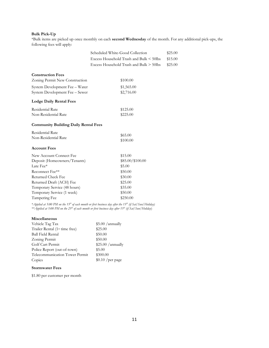#### **Bulk Pick-Up**

\*Bulk items are picked up once monthly on each **second Wednesday** of the month. For any additional pick-ups, the following fees will apply:

> $$25.00$  $$15.00$  $$25.00$

|                                             | Scheduled White-Good Collection         |  |  |
|---------------------------------------------|-----------------------------------------|--|--|
|                                             | Excess Household Trash and Bulk < 50lbs |  |  |
|                                             | Excess Household Trash and Bulk > 50lbs |  |  |
| <b>Construction Fees</b>                    |                                         |  |  |
| Zoning Permit New Construction              | \$100.00                                |  |  |
| System Development Fee - Water              | \$1,565.00                              |  |  |
| System Development Fee - Sewer              | \$2,716.00                              |  |  |
| <b>Lodge Daily Rental Fees</b>              |                                         |  |  |
| Residential Rate                            | \$125.00                                |  |  |
| Non-Residential Rate                        | \$225.00                                |  |  |
| <b>Community Building Daily Rental Fees</b> |                                         |  |  |
| Residential Rate                            | \$65.00                                 |  |  |
| Non-Residential Rate                        | \$100.00                                |  |  |
| <b>Account Fees</b>                         |                                         |  |  |
| New Account Connect Fee                     | \$15.00                                 |  |  |
| Deposit (Homeowners/Tenants)                | \$85.00/\$100.00                        |  |  |
| Late Fee*                                   | \$5.00                                  |  |  |
| Reconnect Fee**                             | \$50.00                                 |  |  |
| Returned Check Fee                          | \$30.00                                 |  |  |
| Returned Draft (ACH) Fee                    | \$25.00                                 |  |  |
| Temporary Service (48 hours)                | \$35.00                                 |  |  |
| Temporary Service (1 week)<br>\$50.00       |                                         |  |  |
| Tampering Fee<br>\$250.00                   |                                         |  |  |

*\*Applied at 5:00 PM on the 15th of each month or first business day after the 15th (if Sat/Sun/Holiday) \*\*Applied at 5:00 PM on the 25th of each month or first business day after 15th (if Sat/Sun/Holiday*)

#### **Miscellaneous**

| Vehicle Tag Tax                            | \$5.00 / annually  |
|--------------------------------------------|--------------------|
| Trailer Rental (1 <sup>st</sup> time free) | \$25.00            |
| <b>Ball Field Rental</b>                   | \$50.00            |
| Zoning Permit                              | \$50.00            |
| Golf Cart Permit                           | \$25.00 / annually |
| Police Report (out-of-town)                | \$5.00             |
| Telecommunication Tower Permit             | \$300.00           |
| Copies                                     | $$0.10$ /per page  |

#### **Stormwater Fees**

\$1.80 per customer per month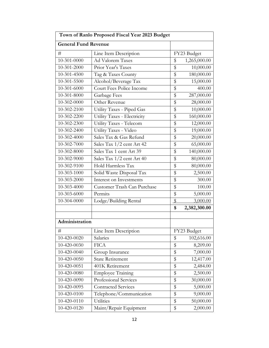| Town of Ranlo Proposed Fiscal Year 2023 Budget |                             |               |              |  |
|------------------------------------------------|-----------------------------|---------------|--------------|--|
| <b>General Fund Revenue</b>                    |                             |               |              |  |
| #                                              | Line Item Description       |               | FY23 Budget  |  |
| 10-301-0000                                    | Ad Valorem Taxes            | \$            | 1,265,000.00 |  |
| 10-301-2000                                    | Prior Year's Taxes          | \$            | 10,000.00    |  |
| 10-301-4500                                    | Tag & Taxes County          | \$            | 180,000.00   |  |
| 10-301-5500                                    | Alcohol/Beverage Tax        | \$            | 15,000.00    |  |
| 10-301-6000                                    | Court Fees Police Income    | \$            | 400.00       |  |
| 10-301-8000                                    | Garbage Fees                | \$            | 287,000.00   |  |
| 10-302-0000                                    | Other Revenue               | \$            | 28,000.00    |  |
| 10-302-2100                                    | Utility Taxes - Piped Gas   | \$            | 10,000.00    |  |
| 10-302-2200                                    | Utility Taxes - Electricity | \$            | 160,000.00   |  |
| 10-302-2300                                    | Utility Taxes - Telecom     | \$            | 12,000.00    |  |
| 10-302-2400                                    | Utility Taxes - Video       | \$            | 19,000.00    |  |
| 10-302-4000                                    | Sales Tax & Gas Refund      | \$            | 20,000.00    |  |
| 10-302-7000                                    | Sales Tax 1/2 cent Art 42   | \$            | 65,000.00    |  |
| 10-302-8000                                    | Sales Tax 1 cent Art 39     | \$            | 140,000.00   |  |
| 10-302-9000                                    | Sales Tax 1/2 cent Art 40   | \$            | 80,000.00    |  |
| 10-302-9100                                    | Hold Harmless Tax           | \$            | 80,000.00    |  |
| 10-303-1000                                    | Solid Waste Disposal Tax    | \$            | 2,500.00     |  |
| 10-303-2000                                    | Interest on Investments     | \$            | 300.00       |  |
| 10-303-4000                                    | Customer Trash Can Purchase | \$            | 100.00       |  |
| 10-303-6000                                    | Permits                     | \$            | 5,000.00     |  |
| 10-304-0000                                    | Lodge/Building Rental       | $\sqrt[6]{2}$ | 3,000.00     |  |
|                                                |                             | \$            | 2,382,300.00 |  |
|                                                |                             |               |              |  |
| Administration                                 |                             |               |              |  |
| #                                              | Line Item Description       |               | FY23 Budget  |  |
| 10-420-0020                                    | Salaries                    | \$            | 102,616.00   |  |
| 10-420-0030                                    | <b>FICA</b>                 | \$            | 8,209.00     |  |
| 10-420-0040                                    | Group Insurance             | \$            | 7,000.00     |  |
| 10-420-0050                                    | <b>State Retirement</b>     | \$            | 12,417.00    |  |
| 10-420-0051                                    | 401K Retirement             | \$            | 2,484.00     |  |
| 10-420-0080                                    | <b>Employee Training</b>    | \$            | 2,500.00     |  |
| 10-420-0090                                    | Professional Services       | \$            | 30,000.00    |  |
| 10-420-0095                                    | <b>Contracted Services</b>  | \$            | 5,000.00     |  |
| 10-420-0100                                    | Telephone/Communication     | \$            | 9,000.00     |  |
| 10-420-0110                                    | Utilities                   | \$            | 50,000.00    |  |
| 10-420-0120                                    | Maint/Repair Equipment      | \$            | 2,000.00     |  |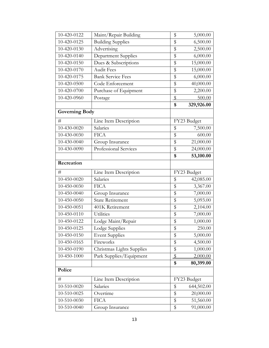| 10-420-0122           | Maint/Repair Building      | \$              | 5,000.00    |
|-----------------------|----------------------------|-----------------|-------------|
| 10-420-0125           | <b>Building Supplies</b>   | \$              | 6,500.00    |
| 10-420-0130           | Advertising                | \$              | 2,500.00    |
| 10-420-0140           | <b>Department Supplies</b> | \$              | 6,000.00    |
| 10-420-0150           | Dues & Subscriptions       | \$              | 15,000.00   |
| 10-420-0170           | <b>Audit Fees</b>          | \$              | 15,000.00   |
| 10-420-0175           | <b>Bank Service Fees</b>   | \$              | 6,000.00    |
| 10-420-0500           | Code Enforcement           | \$              | 40,000.00   |
| 10-420-0700           | Purchase of Equipment      | \$              | 2,200.00    |
| 10-420-0960           | Postage                    | $\overline{\$}$ | 500.00      |
|                       |                            | \$              | 329,926.00  |
| <b>Governing Body</b> |                            |                 |             |
| #                     | Line Item Description      |                 | FY23 Budget |
| 10-430-0020           | Salaries                   | \$              | 7,500.00    |
| 10-430-0030           | <b>FICA</b>                | \$              | 600.00      |
| 10-430-0040           | Group Insurance            | \$              | 21,000.00   |
| 10-430-0090           | Professional Services      | \$              | 24,000.00   |
|                       |                            | \$              | 53,100.00   |
| Recreation            |                            |                 |             |
| #                     | Line Item Description      |                 | FY23 Budget |
| 10-450-0020           | Salaries                   | \$              | 42,085.00   |
| 10-450-0030           | <b>FICA</b>                | \$              | 3,367.00    |
| 10-450-0040           | Group Insurance            | \$              | 7,000.00    |
| 10-450-0050           | <b>State Retirement</b>    | \$              | 5,093.00    |
| 10-450-0051           | 401K Retirement            | \$              | 2,104.00    |
| 10-450-0110           | Utilities                  | $\overline{\$}$ | 7,000.00    |
| 10-450-0122           | Lodge Maint/Repair         | \$              | 1,000.00    |
| 10-450-0125           | Lodge Supplies             | \$              | 250.00      |
| 10-450-0150           | <b>Event Supplies</b>      | \$              | 5,000.00    |
| 10-450-0165           | Fireworks                  | \$              | 4,500.00    |
| 10-450-0190           | Christmas Lights Supplies  | \$              | 1,000.00    |
| 10-450-1000           | Park Supplies/Equipment    | $\mathcal{S}$   | 2,000.00    |
|                       |                            | \$              | 80,399.00   |
| Police                |                            |                 |             |
| #                     | Line Item Description      |                 | FY23 Budget |
| 10-510-0020           | Salaries                   | \$              | 644,502.00  |
| 10-510-0025           | Overtime                   | \$              | 20,000.00   |
| 10-510-0030           | <b>FICA</b>                | \$              | 51,560.00   |
| 10-510-0040           | Group Insurance            | \$              | 91,000.00   |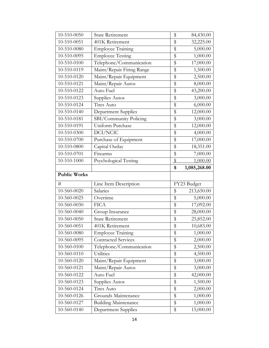| 10-510-0050         | <b>State Retirement</b>     | \$              | 84,430.00    |
|---------------------|-----------------------------|-----------------|--------------|
| 10-510-0051         | 401K Retirement             | \$              | 32,225.00    |
| 10-510-0080         | <b>Employee Training</b>    | \$              | 5,000.00     |
| 10-510-0095         | <b>Employee Testing</b>     | \$              | 1,000.00     |
| 10-510-0100         | Telephone/Communication     | \$              | 17,000.00    |
| 10-510-0119         | Maint/Repair Firing Range   | \$              | 1,500.00     |
| 10-510-0120         | Maint/Repair Equipment      | \$              | 2,500.00     |
| 10-510-0121         | Maint/Repair Autos          | \$              | 8,000.00     |
| 10-510-0122         | Auto Fuel                   | \$              | 43,200.00    |
| 10-510-0123         | Supplies Autos              | \$              | 3,000.00     |
| 10-510-0124         | Tires Auto                  | \$              | 6,000.00     |
| 10-510-0140         | <b>Department Supplies</b>  | \$              | 12,000.00    |
| 10-510-0181         | SBI/Community Policing      | \$              | 3,000.00     |
| 10-510-0191         | Uniform Purchase            | \$              | 12,000.00    |
| 10-510-0300         | DCI/NCIC                    | \$              | 4,000.00     |
| 10-510-0700         | Purchase of Equipment       | \$              | 17,000.00    |
| 10-510-0800         | Capital Outlay              | \$              | 18,351.00    |
| 10-510-0701         | Firearms                    | \$              | 7,000.00     |
| 10-510-1000         | Psychological Testing       | \$              | 1,000.00     |
|                     |                             | \$              | 1,085,268.00 |
|                     |                             |                 |              |
| <b>Public Works</b> |                             |                 |              |
| #                   | Line Item Description       |                 | FY23 Budget  |
| 10-560-0020         | Salaries                    | \$              | 213,650.00   |
| 10-560-0025         | Overtime                    | \$              | 5,000.00     |
| 10-560-0030         | <b>FICA</b>                 | \$              | 17,092.00    |
| 10-560-0040         | Group Insurance             | \$              | 28,000.00    |
| 10-560-0050         | <b>State Retirement</b>     | \$              | 25,852.00    |
| 10-560-0051         | 401K Retirement             | $\overline{\$}$ | 10,683.00    |
| 10-560-0080         | <b>Employee Training</b>    | \$              | 1,000.00     |
| 10-560-0095         | <b>Contracted Services</b>  | \$              | 2,000.00     |
| 10-560-0100         | Telephone/Communication     | \$              | 2,500.00     |
| 10-560-0110         | Utilities                   | \$              | 4,500.00     |
| 10-560-0120         | Maint/Repair Equipment      | \$              | 3,000.00     |
| 10-560-0121         | Maint/Repair Autos          | \$              | 3,000.00     |
| 10-560-0122         | Auto Fuel                   | \$              | 42,000.00    |
| 10-560-0123         | Supplies Autos              | \$              | 1,500.00     |
| 10-560-0124         | Tires Auto                  | \$              | 2,000.00     |
| 10-560-0126         | Grounds Maintenance         | \$              | 1,000.00     |
| 10-560-0127         | <b>Building Maintenance</b> | \$              | 1,000.00     |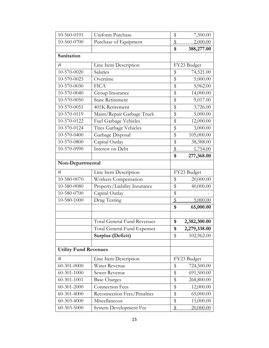| 10-560-0191                  | Uniform Purchase                   | \$                      | 7,500.00     |
|------------------------------|------------------------------------|-------------------------|--------------|
| 10-560-0700                  | Purchase of Equipment              | $\sqrt[6]{\frac{1}{2}}$ | 2,000.00     |
|                              |                                    | \$                      | 388,277.00   |
| Sanitation                   |                                    |                         |              |
| #                            | Line Item Description              |                         | FY23 Budget  |
| 10-570-0020                  | Salaries                           | \$                      | 74,521.00    |
| 10-570-0025                  | Overtime                           | \$                      | 5,000.00     |
| 10-570-0030                  | <b>FICA</b>                        | \$                      | 5,962.00     |
| 10-570-0040                  | Group Insurance                    | \$                      | 14,000.00    |
| 10-570-0050                  | <b>State Retirement</b>            | \$                      | 9,017.00     |
| 10-570-0051                  | 401K Retirement                    | \$                      | 3,726.00     |
| 10-570-0119                  | Maint/Repair Garbage Truck         | \$                      | 5,000.00     |
| 10-570-0122                  | Fuel Garbage Vehicles              | \$                      | 12,000.00    |
| 10-570-0124                  | Tires Garbage Vehicles             | \$                      | 3,000.00     |
| 10-570-0400                  | Garbage Disposal                   | \$                      | 105,000.00   |
| 10-570-0800                  | Capital Outlay                     | \$                      | 38,388.00    |
| 10-570-0990                  | Interest on Debt                   | $\sqrt[6]{\frac{1}{2}}$ | 1,754.00     |
|                              |                                    | \$                      | 277,368.00   |
| Non-Departmental             |                                    |                         |              |
| #                            | Line Item Description              |                         | FY23 Budget  |
| 10-580-0070                  | Workers Compensation               | \$                      | 20,000.00    |
| 10-580-0080                  | Property/Liability Insurance       | \$                      | 40,000.00    |
| 10-580-0700                  | Capital Outlay                     | \$                      |              |
| 10-580-1000                  | Drug Testing                       | \$                      | 5,000.00     |
|                              |                                    | \$                      | 65,000.00    |
|                              |                                    |                         |              |
|                              | <b>Total General Fund Revenues</b> | \$                      | 2,382,300.00 |
|                              | Total General Fund Expenses        | \$                      | 2,279,338.00 |
|                              | Surplus (Deficit)                  | \$                      | 102,962.00   |
|                              |                                    |                         |              |
| <b>Utility Fund Revenues</b> |                                    |                         |              |
| #                            | Line Item Description              |                         | FY23 Budget  |
| 60-301-0000                  | Water Revenue                      | \$                      | 724,500.00   |
| 60-301-1000                  | Sewer Revenue                      | \$                      | 691,500.00   |
| $60 - 301 - 1001$            | <b>Base Charges</b>                | \$                      | 268,800.00   |
| 60-301-2000                  | <b>Connection Fees</b>             | \$                      | 12,000.00    |
| 60-301-4000                  | Reconnection Fees/Penalties        | \$                      | 65,000.00    |
| 60-303-4000                  | Miscellaneous                      | \$                      | 15,000.00    |
| 60-303-5000                  | System Development Fee             | $\$\$                   | 20,000.00    |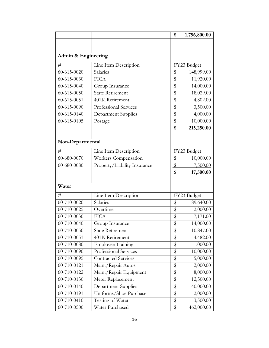|                                |                              | \$            | 1,796,800.00 |
|--------------------------------|------------------------------|---------------|--------------|
|                                |                              |               |              |
|                                |                              |               |              |
| <b>Admin &amp; Engineering</b> |                              |               |              |
| #                              | Line Item Description        |               | FY23 Budget  |
| 60-615-0020                    | Salaries                     | \$            | 148,999.00   |
| 60-615-0030                    | <b>FICA</b>                  | \$            | 11,920.00    |
| 60-615-0040                    | Group Insurance              | \$            | 14,000.00    |
| 60-615-0050                    | <b>State Retirement</b>      | \$            | 18,029.00    |
| 60-615-0051                    | 401K Retirement              | \$            | 4,802.00     |
| 60-615-0090                    | Professional Services        | \$            | 3,500.00     |
| 60-615-0140                    | Department Supplies          | \$            | 4,000.00     |
| 60-615-0105                    | Postage                      | \$            | 10,000.00    |
|                                |                              | \$            | 215,250.00   |
|                                |                              |               |              |
| Non-Departmental               |                              |               |              |
| #                              | Line Item Description        |               | FY23 Budget  |
| 60-680-0070                    | Workers Compensation         | \$            | 10,000.00    |
| 60-680-0080                    | Property/Liability Insurance | $\sqrt[6]{2}$ | 7,500.00     |
|                                |                              | \$            | 17,500.00    |
|                                |                              |               |              |
| Water                          |                              |               |              |
| #                              | Line Item Description        |               | FY23 Budget  |
| 60-710-0020                    | Salaries                     | \$            | 89,640.00    |
| 60-710-0025                    | Overtime                     | \$            | 2,000.00     |
| 60-710-0030                    | <b>FICA</b>                  | \$            | 7,171.00     |
| 60-710-0040                    | Group Insurance              | \$            | 14,000.00    |
| 60-710-0050                    | <b>State Retirement</b>      | \$            | 10,847.00    |
| 60-710-0051                    | 401K Retirement              | \$            | 4,482.00     |
| 60-710-0080                    | <b>Employee Training</b>     | \$            | 1,000.00     |
| 60-710-0090                    | Professional Services        | \$            | 10,000.00    |
| 60-710-0095                    | <b>Contracted Services</b>   | \$            | 5,000.00     |
| 60-710-0121                    | Maint/Repair Autos           | \$            | 2,000.00     |
| 60-710-0122                    | Maint/Repair Equipment       | \$            | 8,000.00     |
| 60-710-0130                    | Meter Replacement            | \$            | 12,500.00    |
| 60-710-0140                    | Department Supplies          | \$            | 40,000.00    |
| 60-710-0191                    | Uniforms/Shoe Purchase       | \$            | 2,000.00     |
| 60-710-0410                    | Testing of Water             | \$            | 3,500.00     |
| 60-710-0500                    | Water Purchased              | \$            | 462,000.00   |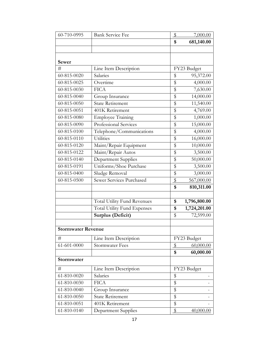| 60-710-0995               | <b>Bank Service Fee</b>            | \$                      | 7,000.00              |  |
|---------------------------|------------------------------------|-------------------------|-----------------------|--|
|                           |                                    | \$                      | 681,140.00            |  |
|                           |                                    |                         |                       |  |
|                           |                                    |                         |                       |  |
| <b>Sewer</b>              |                                    |                         |                       |  |
| #                         | Line Item Description              |                         | FY23 Budget           |  |
| 60-815-0020               | Salaries                           | \$                      | 95,372.00             |  |
| 60-815-0025               | Overtime                           | $\overline{\$}$         | 4,000.00              |  |
| 60-815-0030               | <b>FICA</b>                        | \$                      | $\overline{7,}630.00$ |  |
| 60-815-0040               | Group Insurance                    | \$                      | 14,000.00             |  |
| 60-815-0050               | <b>State Retirement</b>            | $\overline{\$}$         | 11,540.00             |  |
| 60-815-0051               | 401K Retirement                    | \$                      | 4,769.00              |  |
| 60-815-0080               | <b>Employee Training</b>           | $\overline{\$}$         | 1,000.00              |  |
| 60-815-0090               | Professional Services              | \$                      | 15,000.00             |  |
| 60-815-0100               | Telephone/Communications           | \$                      | 4,000.00              |  |
| $60 - 815 - 0110$         | Utilities                          | \$                      | 16,000.00             |  |
| 60-815-0120               | Maint/Repair Equipment             | \$                      | 10,000.00             |  |
| 60-815-0122               | Maint/Repair Autos                 | \$                      | 3,500.00              |  |
| 60-815-0140               | Department Supplies                | \$                      | 50,000.00             |  |
| 60-815-0191               | Uniforms/Shoe Purchase             | \$                      | 3,500.00              |  |
| 60-815-0400               | Sludge Removal                     | \$                      | 3,000.00              |  |
| 60-815-0500               | Sewer Services Purchased           | $\$\$                   | 567,000.00            |  |
|                           |                                    | \$                      | 810,311.00            |  |
|                           |                                    |                         |                       |  |
|                           | <b>Total Utility Fund Revenues</b> | \$                      | 1,796,800.00          |  |
|                           | <b>Total Utility Fund Expenses</b> | \$                      | 1,724,201.00          |  |
|                           | Surplus (Deficit)                  | \$                      | 72,599.00             |  |
|                           |                                    |                         |                       |  |
| <b>Stormwater Revenue</b> |                                    |                         |                       |  |
| #                         | Line Item Description              |                         | FY23 Budget           |  |
| 61-601-0000               | <b>Stormwater Fees</b>             | $\frac{1}{2}$           | 60,000.00             |  |
|                           |                                    | \$                      | 60,000.00             |  |
| Stormwater                |                                    |                         |                       |  |
| #                         | Line Item Description              |                         | FY23 Budget           |  |
| 61-810-0020               | Salaries                           | \$                      |                       |  |
| 61-810-0030               | <b>FICA</b>                        | \$                      |                       |  |
| 61-810-0040               | Group Insurance                    | \$                      |                       |  |
| 61-810-0050               | State Retirement                   | \$                      |                       |  |
| 61-810-0051               | 401K Retirement                    | \$                      |                       |  |
| 61-810-0140               | <b>Department Supplies</b>         | $\sqrt[6]{\frac{1}{2}}$ | 40,000.00             |  |